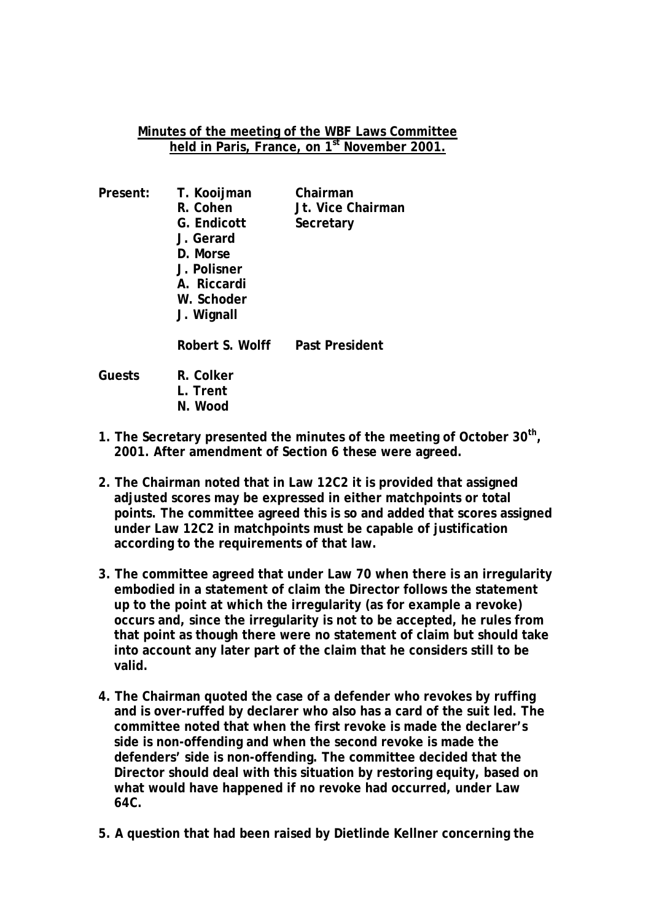## **Minutes of the meeting of the WBF Laws Committee held in Paris, France, on 1st November 2001.**

| Present: | T. Kooijman<br>R. Cohen<br>G. Endicott<br>J. Gerard<br>D. Morse<br>J. Polisner<br>A. Riccardi<br>W. Schoder<br>J. Wignall | Chairman<br>Jt. Vice Chairman<br>Secretary |
|----------|---------------------------------------------------------------------------------------------------------------------------|--------------------------------------------|
|          | Robert S. Wolff                                                                                                           | Past President                             |
| Guests   | R. Colker<br>Trent                                                                                                        |                                            |

- **N. Wood**
- **1. The Secretary presented the minutes of the meeting of October 30th, 2001. After amendment of Section 6 these were agreed.**
- **2. The Chairman noted that in Law 12C2 it is provided that assigned adjusted scores may be expressed in either matchpoints or total points. The committee agreed this is so and added that scores assigned under Law 12C2 in matchpoints must be capable of justification according to the requirements of that law.**
- **3. The committee agreed that under Law 70 when there is an irregularity embodied in a statement of claim the Director follows the statement up to the point at which the irregularity (as for example a revoke) occurs and, since the irregularity is not to be accepted, he rules from that point as though there were no statement of claim but should take into account any later part of the claim that he considers still to be valid.**
- **4. The Chairman quoted the case of a defender who revokes by ruffing and is over-ruffed by declarer who also has a card of the suit led. The committee noted that when the first revoke is made the declarer's side is non-offending and when the second revoke is made the defenders' side is non-offending. The committee decided that the Director should deal with this situation by restoring equity, based on what would have happened if no revoke had occurred, under Law 64C.**
- **5. A question that had been raised by Dietlinde Kellner concerning the**